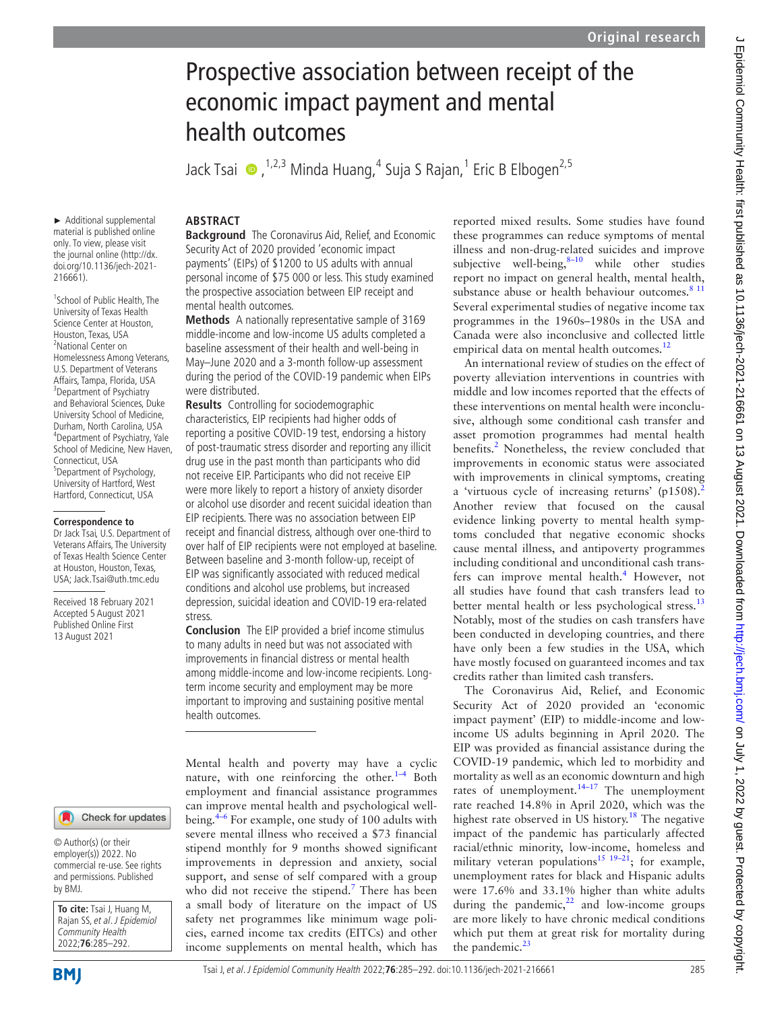# Prospective association between receipt of the economic impact payment and mental health outcomes JackTsai ��, <sup>1,2,3</sup> Minda Huang,<sup>4</sup> Suja S Rajan,<sup>1</sup> Eric B Elbogen<sup>2,5</sup> **ABSTRACT Background** The Coronavirus Aid, Relief, and Economic Security Act of 2020 provided 'economic impact payments' (EIPs) of \$1200 to US adults with annual personal income of \$75 000 or less. This study examined the prospective association between EIP receipt and mental health outcomes. **Methods** A nationally representative sample of 3169 middle-income and low-income US adults completed a baseline assessment of their health and well-being in May–June 2020 and a 3-month follow-up assessment during the period of the COVID-19 pandemic when EIPs were distributed. **Results** Controlling for sociodemographic

characteristics, EIP recipients had higher odds of reporting a positive COVID-19 test, endorsing a history of post-traumatic stress disorder and reporting any illicit drug use in the past month than participants who did not receive EIP. Participants who did not receive EIP were more likely to report a history of anxiety disorder or alcohol use disorder and recent suicidal ideation than EIP recipients. There was no association between EIP receipt and financial distress, although over one-third to over half of EIP recipients were not employed at baseline. Between baseline and 3-month follow-up, receipt of EIP was significantly associated with reduced medical conditions and alcohol use problems, but increased depression, suicidal ideation and COVID-19 era-related stress.

**Conclusion** The EIP provided a brief income stimulus to many adults in need but was not associated with improvements in financial distress or mental health among middle-income and low-income recipients. Longterm income security and employment may be more important to improving and sustaining positive mental health outcomes.

Mental health and poverty may have a cyclic nature, with one reinforcing the other. $1-4$  Both employment and financial assistance programmes can improve mental health and psychological wellbeing[.4–6](#page-6-1) For example, one study of 100 adults with severe mental illness who received a \$73 financial stipend monthly for 9 months showed significant improvements in depression and anxiety, social support, and sense of self compared with a group who did not receive the stipend.<sup>[7](#page-6-2)</sup> There has been a small body of literature on the impact of US safety net programmes like minimum wage policies, earned income tax credits (EITCs) and other income supplements on mental health, which has

reported mixed results. Some studies have found these programmes can reduce symptoms of mental illness and non-drug-related suicides and improve subjective well-being, $8-10$  while other studies report no impact on general health, mental health, substance abuse or health behaviour outcomes.<sup>8 11</sup> Several experimental studies of negative income tax programmes in the 1960s–1980s in the USA and Canada were also inconclusive and collected little empirical data on mental health outcomes.<sup>[12](#page-6-4)</sup>

An international review of studies on the effect of poverty alleviation interventions in countries with middle and low incomes reported that the effects of these interventions on mental health were inconclusive, although some conditional cash transfer and asset promotion programmes had mental health benefits.<sup>2</sup> Nonetheless, the review concluded that improvements in economic status were associated with improvements in clinical symptoms, creating a 'virtuous cycle of increasing returns' (p1508).<sup>[2](#page-6-5)</sup> Another review that focused on the causal evidence linking poverty to mental health symptoms concluded that negative economic shocks cause mental illness, and antipoverty programmes including conditional and unconditional cash trans-fers can improve mental health.<sup>[4](#page-6-1)</sup> However, not all studies have found that cash transfers lead to better mental health or less psychological stress.<sup>[13](#page-6-6)</sup> Notably, most of the studies on cash transfers have been conducted in developing countries, and there have only been a few studies in the USA, which have mostly focused on guaranteed incomes and tax credits rather than limited cash transfers.

The Coronavirus Aid, Relief, and Economic Security Act of 2020 provided an 'economic impact payment' (EIP) to middle-income and lowincome US adults beginning in April 2020. The EIP was provided as financial assistance during the COVID-19 pandemic, which led to morbidity and mortality as well as an economic downturn and high rates of unemployment.<sup>[14–17](#page-6-7)</sup> The unemployment rate reached 14.8% in April 2020, which was the highest rate observed in US history.<sup>[18](#page-6-8)</sup> The negative impact of the pandemic has particularly affected racial/ethnic minority, low-income, homeless and military veteran populations<sup>15</sup> <sup>19–21</sup>; for example, unemployment rates for black and Hispanic adults were 17.6% and 33.1% higher than white adults during the pandemic, $^{22}$  and low-income groups are more likely to have chronic medical conditions which put them at great risk for mortality during the pandemic. $^{23}$  $^{23}$  $^{23}$ 

1 School of Public Health, The University of Texas Health Science Center at Houston, Houston, Texas, USA 2 National Center on Homelessness Among Veterans, U.S. Department of Veterans Affairs, Tampa, Florida, USA <sup>3</sup>Department of Psychiatry and Behavioral Sciences, Duke University School of Medicine, Durham, North Carolina, USA 4 Department of Psychiatry, Yale School of Medicine, New Haven, Connecticut, USA 5 Department of Psychology, University of Hartford, West Hartford, Connecticut, USA

#### **Correspondence to**

Dr Jack Tsai, U.S. Department of Veterans Affairs, The University of Texas Health Science Center at Houston, Houston, Texas, USA; Jack.Tsai@uth.tmc.edu

Received 18 February 2021 Accepted 5 August 2021 Published Online First 13 August 2021

#### Check for updates

© Author(s) (or their employer(s)) 2022. No commercial re-use. See rights and permissions. Published by BMJ.

**To cite:** Tsai J, Huang M, Rajan SS, et al. J Epidemiol Community Health 2022;**76**:285–292.

J Epidemiol Community Health: first published as 10.1136/jech-2021-216661 on 13 August 2021. Downloaded from http://jech.bmj.com/ on July 1, 2022 by guest. Protected by copyright. J Epidemiol Community Health: first published as 10.1136/jech-2021-216661 on 13 August 2021-216661 on 13 August published as 10.1136/jech-2021. Published as 10.1136/jech-2021. Downloaded from http://jech. Downloaded from h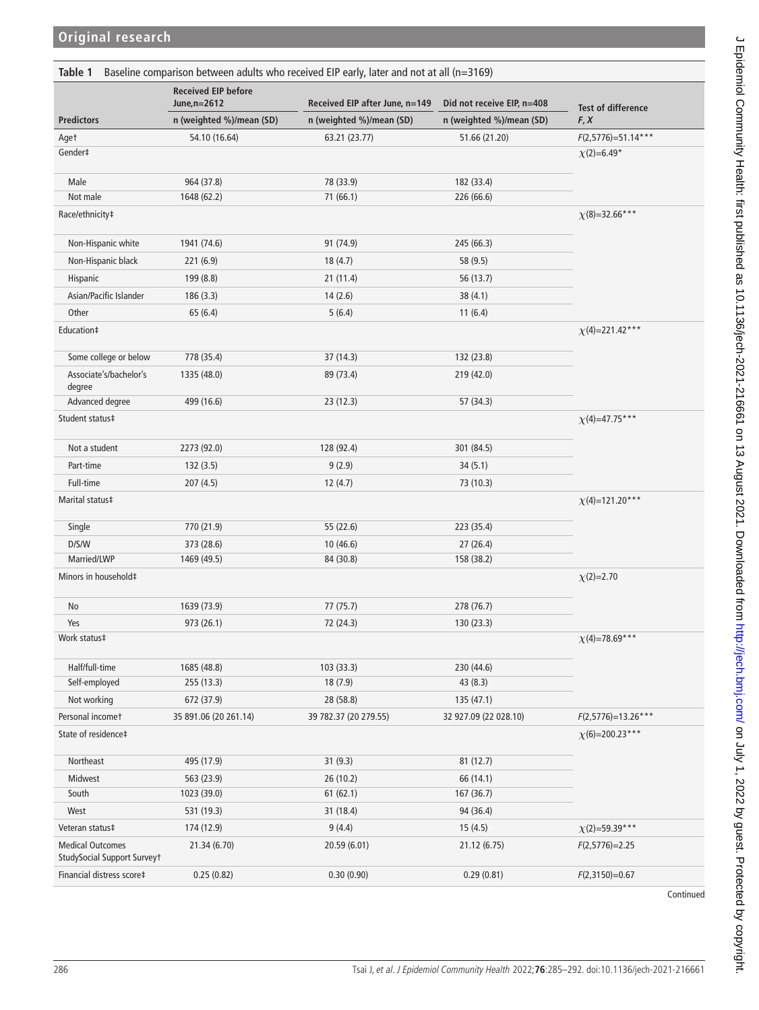<span id="page-1-0"></span>

|                                                        | <b>Received EIP before</b><br>June, n=2612 | Received EIP after June, n=149 | Did not receive EIP, n=408 | <b>Test of difference</b><br>F, X |  |
|--------------------------------------------------------|--------------------------------------------|--------------------------------|----------------------------|-----------------------------------|--|
| <b>Predictors</b>                                      | n (weighted %)/mean (SD)                   | n (weighted %)/mean (SD)       | n (weighted %)/mean (SD)   |                                   |  |
| Aget                                                   | 54.10 (16.64)                              | 63.21 (23.77)                  | 51.66 (21.20)              | $F(2,5776)=51.14***$              |  |
| Gender‡                                                |                                            | $\chi$ (2)=6.49*               |                            |                                   |  |
|                                                        |                                            |                                |                            |                                   |  |
| Male<br>Not male                                       | 964 (37.8)<br>1648 (62.2)                  | 78 (33.9)                      | 182 (33.4)                 |                                   |  |
|                                                        |                                            | 71 (66.1)                      | 226 (66.6)                 |                                   |  |
| Race/ethnicity‡                                        | $\chi(8)=32.66***$                         |                                |                            |                                   |  |
| Non-Hispanic white                                     | 1941 (74.6)                                | 91 (74.9)                      | 245 (66.3)                 |                                   |  |
| Non-Hispanic black                                     | 221 (6.9)                                  | 18(4.7)                        | 58 (9.5)                   |                                   |  |
| Hispanic                                               | 199 (8.8)                                  | 21(11.4)                       | 56 (13.7)                  |                                   |  |
| Asian/Pacific Islander                                 | 186(3.3)                                   | 14(2.6)                        | 38(4.1)                    |                                   |  |
| Other                                                  | 65(6.4)                                    | 5(6.4)                         | 11(6.4)                    |                                   |  |
| Education‡                                             |                                            |                                |                            | $\chi$ (4)=221.42***              |  |
|                                                        |                                            |                                |                            |                                   |  |
| Some college or below                                  | 778 (35.4)                                 | 37 (14.3)                      | 132 (23.8)                 |                                   |  |
| Associate's/bachelor's<br>degree                       | 1335 (48.0)                                | 89 (73.4)                      | 219 (42.0)                 |                                   |  |
| Advanced degree                                        | 499 (16.6)                                 | 23(12.3)                       | 57 (34.3)                  |                                   |  |
| Student status‡                                        |                                            |                                |                            | $\chi$ (4)=47.75***               |  |
|                                                        |                                            |                                |                            |                                   |  |
| Not a student                                          | 2273 (92.0)                                | 128 (92.4)                     | 301 (84.5)                 |                                   |  |
| Part-time                                              | 132(3.5)                                   | 9(2.9)                         | 34(5.1)                    |                                   |  |
| Full-time                                              | 207(4.5)                                   | 12(4.7)                        | 73 (10.3)                  |                                   |  |
| Marital status‡                                        |                                            |                                |                            | $\chi$ (4)=121.20***              |  |
| Single                                                 | 770 (21.9)                                 | 55 (22.6)                      | 223 (35.4)                 |                                   |  |
| D/S/W                                                  | 373 (28.6)                                 | 10 (46.6)                      | 27(26.4)                   |                                   |  |
| Married/LWP                                            | 1469 (49.5)                                | 84 (30.8)                      | 158 (38.2)                 |                                   |  |
| Minors in household‡                                   |                                            |                                |                            | $\chi$ (2)=2.70                   |  |
| No                                                     | 1639 (73.9)                                | 77 (75.7)                      | 278 (76.7)                 |                                   |  |
| Yes                                                    | 973 (26.1)                                 | 72 (24.3)                      | 130 (23.3)                 |                                   |  |
| Work status‡                                           |                                            |                                |                            | $\chi$ (4)=78.69***               |  |
|                                                        |                                            |                                |                            |                                   |  |
| Half/full-time<br>Self-employed                        | 1685 (48.8)<br>255 (13.3)                  | 103 (33.3)<br>18 (7.9)         | 230 (44.6)<br>43 (8.3)     |                                   |  |
|                                                        |                                            |                                |                            |                                   |  |
| Not working                                            | 672 (37.9)                                 | 28 (58.8)                      | 135(47.1)                  |                                   |  |
| Personal incomet                                       | 35 891.06 (20 261.14)                      | 39 782.37 (20 279.55)          | 32 927.09 (22 028.10)      | $F(2,5776)=13.26***$              |  |
| State of residence‡                                    |                                            |                                |                            | $\chi$ (6)=200.23***              |  |
| Northeast                                              | 495 (17.9)                                 | 31(9.3)                        | 81(12.7)                   |                                   |  |
| Midwest                                                | 563 (23.9)                                 | 26(10.2)                       | 66 (14.1)                  |                                   |  |
| South                                                  | 1023 (39.0)                                | 61(62.1)                       | 167 (36.7)                 |                                   |  |
| West                                                   | 531 (19.3)                                 | 31 (18.4)                      | 94 (36.4)                  |                                   |  |
| Veteran status‡                                        | 174 (12.9)                                 | 9(4.4)                         | 15(4.5)                    | $\chi$ (2)=59.39***               |  |
| <b>Medical Outcomes</b><br>StudySocial Support Surveyt | 21.34 (6.70)                               | 20.59 (6.01)                   | 21.12 (6.75)               | $F(2,5776)=2.25$                  |  |
| Financial distress score‡                              | 0.25(0.82)                                 | 0.30(0.90)                     | 0.29(0.81)                 | $F(2,3150)=0.67$                  |  |
|                                                        |                                            |                                |                            |                                   |  |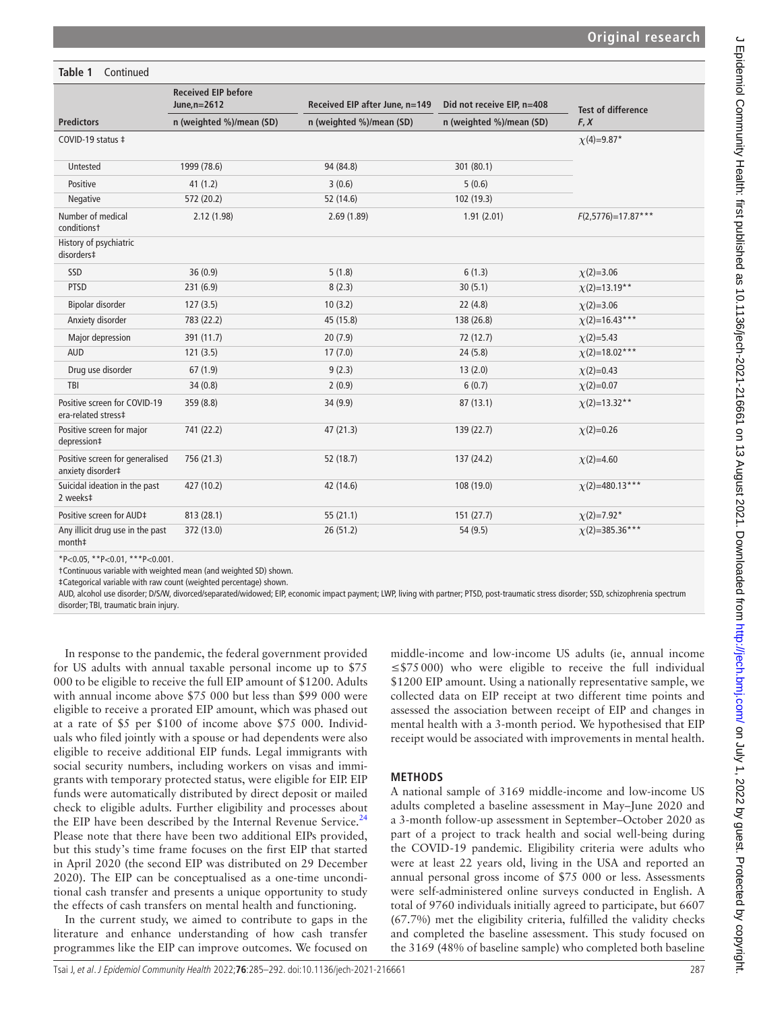#### **Predictors Received EIP before June,n=2612 Received EIP after June, n=149 Did not receive EIP, n=408 Test of difference n (weighted %)/mean (SD) n (weighted %)/mean (SD) n (weighted %)/mean (SD) F, X** COVID-19 status ‡  $\chi(4)=9.87^*$ Untested 1999 (78.6) 94 (84.8) 301 (80.1) Positive 6 (0.6) 41 (1.2) 3 (0.6) 3 (0.6) 5 (0.6) Negative 572 (20.2) 52 (14.6) 52 (14.6) 52 (14.6) 52 (19.3) Number of medical conditions† 2.12 (1.98) 2.69 (1.89) 1.91 (2.01) *F*(2,5776)=17.87\*\*\* History of psychiatric disorders‡ SSD 36 (0.9) 5 (1.8) 5 (1.8) 6 (1.3)  $\chi$ (2)=3.06 PTSD 231 (6.9) 8 (2.3) 30 (5.1) *χ*(2)=13.19\*\* Bipolar disorder 127 (3.5) 10 (3.2) 22 (4.8) *χ*(2)=3.06 Anxiety disorder 783 (22.2) 45 (15.8) 138 (26.8) *χ*(2)=16.43\*\*\* Major depression 391 (11.7) 20 (7.9) 72 (12.7) *χ*(2)=5.43 AUD 121 (3.5) 17 (7.0) 24 (5.8) *χ*(2)=18.02\*\*\* Drug use disorder 67 (1.9) **9** (2.3) 9 (2.3) 13 (2.0) *χ***(2)=0.43** TBI 34 (0.8) 34 (0.8) **2** (0.9) 6 (0.7) 6 (0.7)  $\chi$ (2)=0.07 Positive screen for COVID-19 era-related stress‡ 359 (8.8) 34 (9.9) 34 (9.9) **34 (9.9)** 87 (13.1)  $\chi$  (2)=13.32<sup>\*\*</sup> Positive screen for major depression‡ 741 (22.2) 47 (21.3) 139 (22.7) *χ*(2)=0.26 Positive screen for generalised anxiety disorder‡ 756 (21.3) 52 (18.7) 137 (24.2) *χ*(2)=4.60 Suicidal ideation in the past 2 weeks‡ 42 (14.6) **42** (14.6) **108 (19.0) <b>***χ*(2)=480.13\*\*\* Positive screen for AUD‡ 813 (28.1) 55 (21.1) 151 (27.7) *χ*(2)=7.92\* Any illicit drug use in the past month‡ 372 (13.0) 26 (51.2) 54 (9.5) *χ*(2)=385.36\*\*\*

\*P<0.05, \*\*P<0.01, \*\*\*P<0.001.

**Table 1** Continued

†Continuous variable with weighted mean (and weighted SD) shown.

‡Categorical variable with raw count (weighted percentage) shown.

AUD, alcohol use disorder; D/S/W, divorced/separated/widowed; EIP, economic impact payment; LWP, living with partner; PTSD, post-traumatic stress disorder; SSD, schizophrenia spectrum disorder; TBI, traumatic brain injury.

In response to the pandemic, the federal government provided for US adults with annual taxable personal income up to \$75 000 to be eligible to receive the full EIP amount of \$1200. Adults with annual income above \$75 000 but less than \$99 000 were eligible to receive a prorated EIP amount, which was phased out at a rate of \$5 per \$100 of income above \$75 000. Individuals who filed jointly with a spouse or had dependents were also eligible to receive additional EIP funds. Legal immigrants with social security numbers, including workers on visas and immigrants with temporary protected status, were eligible for EIP. EIP funds were automatically distributed by direct deposit or mailed check to eligible adults. Further eligibility and processes about the EIP have been described by the Internal Revenue Service. $<sup>2</sup>$ </sup> Please note that there have been two additional EIPs provided, but this study's time frame focuses on the first EIP that started in April 2020 (the second EIP was distributed on 29 December 2020). The EIP can be conceptualised as a one-time unconditional cash transfer and presents a unique opportunity to study the effects of cash transfers on mental health and functioning.

In the current study, we aimed to contribute to gaps in the literature and enhance understanding of how cash transfer programmes like the EIP can improve outcomes. We focused on

Tsai J, et al. J Epidemiol Community Health 2022;**76**:285–292. doi:10.1136/jech-2021-216661 287

middle-income and low-income US adults (ie, annual income ≤\$75 000) who were eligible to receive the full individual \$1200 EIP amount. Using a nationally representative sample, we collected data on EIP receipt at two different time points and assessed the association between receipt of EIP and changes in mental health with a 3-month period. We hypothesised that EIP receipt would be associated with improvements in mental health.

### **METHODS**

A national sample of 3169 middle-income and low-income US adults completed a baseline assessment in May–June 2020 and a 3-month follow-up assessment in September–October 2020 as part of a project to track health and social well-being during the COVID-19 pandemic. Eligibility criteria were adults who were at least 22 years old, living in the USA and reported an annual personal gross income of \$75 000 or less. Assessments were self-administered online surveys conducted in English. A total of 9760 individuals initially agreed to participate, but 6607 (67.7%) met the eligibility criteria, fulfilled the validity checks and completed the baseline assessment. This study focused on the 3169 (48% of baseline sample) who completed both baseline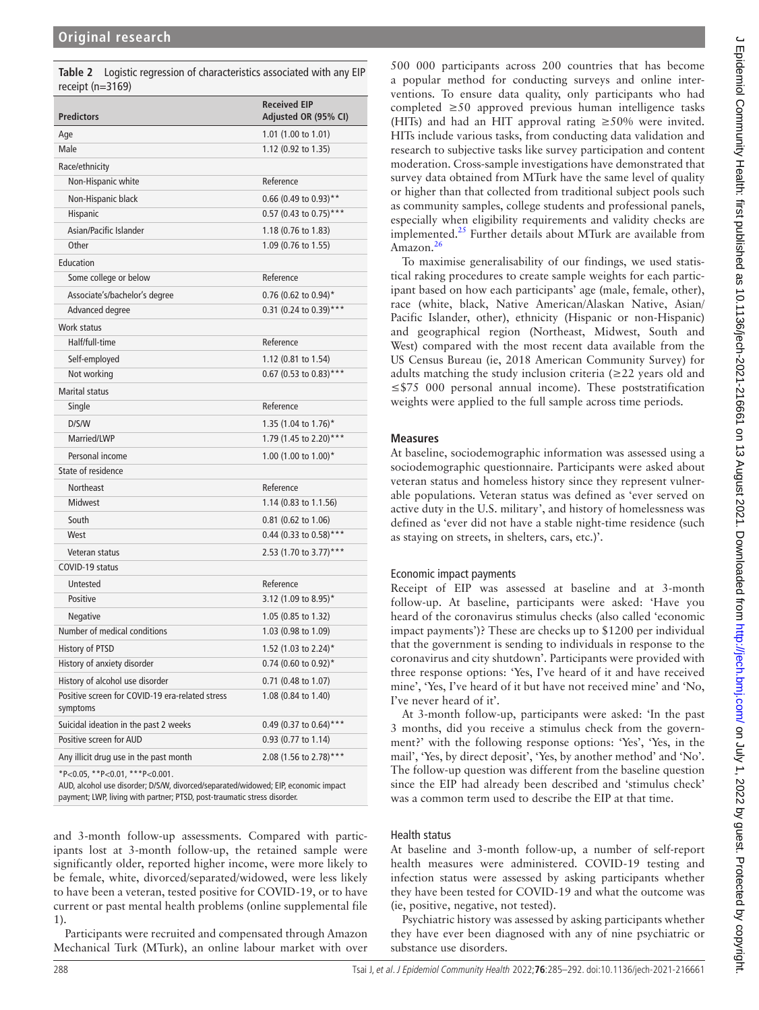<span id="page-3-0"></span>**Table 2** Logistic regression of characteristics associated with any EIP receipt (n=3169)

| <b>Predictors</b>                                           | <b>Received EIP</b><br>Adjusted OR (95% CI) |  |  |  |
|-------------------------------------------------------------|---------------------------------------------|--|--|--|
| Age                                                         | 1.01 (1.00 to 1.01)                         |  |  |  |
| Male                                                        | 1.12 (0.92 to 1.35)                         |  |  |  |
| Race/ethnicity                                              |                                             |  |  |  |
| Non-Hispanic white                                          | Reference                                   |  |  |  |
| Non-Hispanic black                                          | 0.66 (0.49 to 0.93)**                       |  |  |  |
| Hispanic                                                    | 0.57 (0.43 to 0.75) ***                     |  |  |  |
| Asian/Pacific Islander                                      | 1.18 (0.76 to 1.83)                         |  |  |  |
| Other                                                       | 1.09 (0.76 to 1.55)                         |  |  |  |
| Education                                                   |                                             |  |  |  |
| Some college or below                                       | Reference                                   |  |  |  |
| Associate's/bachelor's degree                               | $0.76$ (0.62 to 0.94)*                      |  |  |  |
| Advanced degree                                             | 0.31 (0.24 to 0.39) ***                     |  |  |  |
| Work status                                                 |                                             |  |  |  |
| Half/full-time                                              | Reference                                   |  |  |  |
| Self-employed                                               | 1.12 (0.81 to 1.54)                         |  |  |  |
| Not working                                                 | 0.67 (0.53 to 0.83)***                      |  |  |  |
| <b>Marital status</b>                                       |                                             |  |  |  |
| Single                                                      | Reference                                   |  |  |  |
| D/S/W                                                       | 1.35 (1.04 to 1.76)*                        |  |  |  |
| Married/LWP                                                 | 1.79 (1.45 to 2.20)***                      |  |  |  |
| Personal income                                             | 1.00 $(1.00 \text{ to } 1.00)^*$            |  |  |  |
| State of residence                                          |                                             |  |  |  |
| <b>Northeast</b>                                            | Reference                                   |  |  |  |
| <b>Midwest</b>                                              | 1.14 (0.83 to 1.1.56)                       |  |  |  |
| South                                                       | 0.81 (0.62 to 1.06)                         |  |  |  |
| West                                                        | 0.44 (0.33 to 0.58)***                      |  |  |  |
| Veteran status                                              | 2.53 (1.70 to 3.77)***                      |  |  |  |
| COVID-19 status                                             |                                             |  |  |  |
| Untested                                                    | Reference                                   |  |  |  |
| Positive                                                    | 3.12 (1.09 to 8.95)*                        |  |  |  |
| Negative                                                    | 1.05 (0.85 to 1.32)                         |  |  |  |
| Number of medical conditions                                | 1.03 (0.98 to 1.09)                         |  |  |  |
| <b>History of PTSD</b>                                      | 1.52 (1.03 to 2.24)*                        |  |  |  |
| History of anxiety disorder                                 | 0.74 (0.60 to 0.92)*                        |  |  |  |
| History of alcohol use disorder                             | 0.71 (0.48 to 1.07)                         |  |  |  |
| Positive screen for COVID-19 era-related stress<br>symptoms | 1.08 (0.84 to 1.40)                         |  |  |  |
| Suicidal ideation in the past 2 weeks                       | 0.49 (0.37 to 0.64)***                      |  |  |  |
| Positive screen for AUD                                     | 0.93 (0.77 to 1.14)                         |  |  |  |
| Any illicit drug use in the past month                      | 2.08 (1.56 to 2.78)***                      |  |  |  |
| *P<0.05, **P<0.01, ***P<0.001.                              |                                             |  |  |  |

AUD, alcohol use disorder; D/S/W, divorced/separated/widowed; EIP, economic impact payment; LWP, living with partner; PTSD, post-traumatic stress disorder.

and 3-month follow-up assessments. Compared with participants lost at 3-month follow-up, the retained sample were significantly older, reported higher income, were more likely to be female, white, divorced/separated/widowed, were less likely to have been a veteran, tested positive for COVID-19, or to have current or past mental health problems [\(online supplemental file](https://dx.doi.org/10.1136/jech-2021-216661)  [1](https://dx.doi.org/10.1136/jech-2021-216661)).

Participants were recruited and compensated through Amazon Mechanical Turk (MTurk), an online labour market with over 500 000 participants across 200 countries that has become a popular method for conducting surveys and online interventions. To ensure data quality, only participants who had completed ≥50 approved previous human intelligence tasks (HITs) and had an HIT approval rating  $\geq 50\%$  were invited. HITs include various tasks, from conducting data validation and research to subjective tasks like survey participation and content moderation. Cross-sample investigations have demonstrated that survey data obtained from MTurk have the same level of quality or higher than that collected from traditional subject pools such as community samples, college students and professional panels, especially when eligibility requirements and validity checks are implemented. $^{25}$  $^{25}$  $^{25}$  Further details about MTurk are available from Amazon.<sup>[26](#page-6-14)</sup>

To maximise generalisability of our findings, we used statistical raking procedures to create sample weights for each participant based on how each participants' age (male, female, other), race (white, black, Native American/Alaskan Native, Asian/ Pacific Islander, other), ethnicity (Hispanic or non-Hispanic) and geographical region (Northeast, Midwest, South and West) compared with the most recent data available from the US Census Bureau (ie, 2018 American Community Survey) for adults matching the study inclusion criteria ( $\geq$ 22 years old and ≤\$75 000 personal annual income). These poststratification weights were applied to the full sample across time periods.

### **Measures**

At baseline, sociodemographic information was assessed using a sociodemographic questionnaire. Participants were asked about veteran status and homeless history since they represent vulnerable populations. Veteran status was defined as 'ever served on active duty in the U.S. military', and history of homelessness was defined as 'ever did not have a stable night-time residence (such as staying on streets, in shelters, cars, etc.)'.

### Economic impact payments

Receipt of EIP was assessed at baseline and at 3-month follow-up. At baseline, participants were asked: 'Have you heard of the coronavirus stimulus checks (also called 'economic impact payments')? These are checks up to \$1200 per individual that the government is sending to individuals in response to the coronavirus and city shutdown'. Participants were provided with three response options: 'Yes, I've heard of it and have received mine', 'Yes, I've heard of it but have not received mine' and 'No, I've never heard of it'.

At 3-month follow-up, participants were asked: 'In the past 3 months, did you receive a stimulus check from the government?' with the following response options: 'Yes', 'Yes, in the mail', 'Yes, by direct deposit', 'Yes, by another method' and 'No'. The follow-up question was different from the baseline question since the EIP had already been described and 'stimulus check' was a common term used to describe the EIP at that time.

#### Health status

At baseline and 3-month follow-up, a number of self-report health measures were administered. COVID-19 testing and infection status were assessed by asking participants whether they have been tested for COVID-19 and what the outcome was (ie, positive, negative, not tested).

Psychiatric history was assessed by asking participants whether they have ever been diagnosed with any of nine psychiatric or substance use disorders.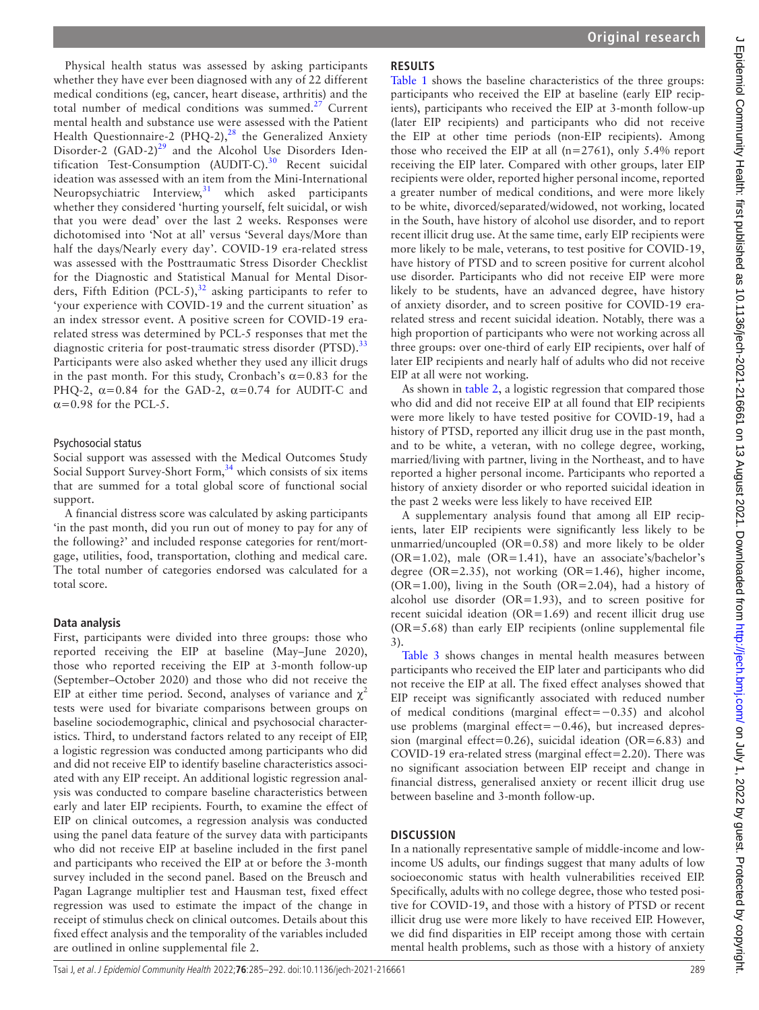J Epidemiol Community Health: first published as 10.1136/jech-2021-216661 on 13 August 2021. Downloaded from http://jech.bmj.com/ on July 1, 2022 by guest. Protected by copyright. J Epidemiol Community Health: first published as 10.1136/jech-2021-216661 on 13 August 2021-216661 on 13 August published as 10.1136/jech-2021. Published as 10.1136/jech-2021. Downloaded from http://jech. Downloaded from h

Physical health status was assessed by asking participants whether they have ever been diagnosed with any of 22 different medical conditions (eg, cancer, heart disease, arthritis) and the total number of medical conditions was summed. $27$  Current mental health and substance use were assessed with the Patient Health Questionnaire-2 (PHQ-2),<sup>28</sup> the Generalized Anxiety Disorder-2 (GAD-2) $^{29}$  and the Alcohol Use Disorders Identification Test-Consumption (AUDIT-C). $30$  Recent suicidal ideation was assessed with an item from the Mini-International Neuropsychiatric Interview, $31$  which asked participants whether they considered 'hurting yourself, felt suicidal, or wish that you were dead' over the last 2 weeks. Responses were dichotomised into 'Not at all' versus 'Several days/More than half the days/Nearly every day'. COVID-19 era-related stress was assessed with the Posttraumatic Stress Disorder Checklist for the Diagnostic and Statistical Manual for Mental Disorders, Fifth Edition (PCL-5),  $32$  asking participants to refer to 'your experience with COVID-19 and the current situation' as an index stressor event. A positive screen for COVID-19 erarelated stress was determined by PCL-5 responses that met the diagnostic criteria for post-traumatic stress disorder (PTSD).<sup>[33](#page-7-4)</sup> Participants were also asked whether they used any illicit drugs in the past month. For this study, Cronbach's  $\alpha$ =0.83 for the PHQ-2,  $\alpha$ =0.84 for the GAD-2,  $\alpha$ =0.74 for AUDIT-C and  $\alpha$ =0.98 for the PCL-5.

### Psychosocial status

Social support was assessed with the Medical Outcomes Study Social Support Survey-Short Form,<sup>[34](#page-7-5)</sup> which consists of six items that are summed for a total global score of functional social support.

A financial distress score was calculated by asking participants 'in the past month, did you run out of money to pay for any of the following?' and included response categories for rent/mortgage, utilities, food, transportation, clothing and medical care. The total number of categories endorsed was calculated for a total score.

## **Data analysis**

First, participants were divided into three groups: those who reported receiving the EIP at baseline (May–June 2020), those who reported receiving the EIP at 3-month follow-up (September–October 2020) and those who did not receive the EIP at either time period. Second, analyses of variance and  $\chi^2$ tests were used for bivariate comparisons between groups on baseline sociodemographic, clinical and psychosocial characteristics. Third, to understand factors related to any receipt of EIP, a logistic regression was conducted among participants who did and did not receive EIP to identify baseline characteristics associated with any EIP receipt. An additional logistic regression analysis was conducted to compare baseline characteristics between early and later EIP recipients. Fourth, to examine the effect of EIP on clinical outcomes, a regression analysis was conducted using the panel data feature of the survey data with participants who did not receive EIP at baseline included in the first panel and participants who received the EIP at or before the 3-month survey included in the second panel. Based on the Breusch and Pagan Lagrange multiplier test and Hausman test, fixed effect regression was used to estimate the impact of the change in receipt of stimulus check on clinical outcomes. Details about this fixed effect analysis and the temporality of the variables included are outlined in [online supplemental file 2](https://dx.doi.org/10.1136/jech-2021-216661).

# **RESULTS**

[Table](#page-1-0) 1 shows the baseline characteristics of the three groups: participants who received the EIP at baseline (early EIP recipients), participants who received the EIP at 3-month follow-up (later EIP recipients) and participants who did not receive the EIP at other time periods (non-EIP recipients). Among those who received the EIP at all  $(n=2761)$ , only 5.4% report receiving the EIP later. Compared with other groups, later EIP recipients were older, reported higher personal income, reported a greater number of medical conditions, and were more likely to be white, divorced/separated/widowed, not working, located in the South, have history of alcohol use disorder, and to report recent illicit drug use. At the same time, early EIP recipients were more likely to be male, veterans, to test positive for COVID-19, have history of PTSD and to screen positive for current alcohol use disorder. Participants who did not receive EIP were more likely to be students, have an advanced degree, have history of anxiety disorder, and to screen positive for COVID-19 erarelated stress and recent suicidal ideation. Notably, there was a high proportion of participants who were not working across all three groups: over one-third of early EIP recipients, over half of later EIP recipients and nearly half of adults who did not receive EIP at all were not working.

As shown in [table](#page-3-0) 2, a logistic regression that compared those who did and did not receive EIP at all found that EIP recipients were more likely to have tested positive for COVID-19, had a history of PTSD, reported any illicit drug use in the past month, and to be white, a veteran, with no college degree, working, married/living with partner, living in the Northeast, and to have reported a higher personal income. Participants who reported a history of anxiety disorder or who reported suicidal ideation in the past 2 weeks were less likely to have received EIP.

A supplementary analysis found that among all EIP recipients, later EIP recipients were significantly less likely to be unmarried/uncoupled ( $OR=0.58$ ) and more likely to be older (OR=1.02), male (OR=1.41), have an associate's/bachelor's degree ( $OR = 2.35$ ), not working ( $OR = 1.46$ ), higher income,  $(OR=1.00)$ , living in the South  $(OR=2.04)$ , had a history of alcohol use disorder (OR=1.93), and to screen positive for recent suicidal ideation (OR=1.69) and recent illicit drug use (OR=5.68) than early EIP recipients ([online supplemental file](https://dx.doi.org/10.1136/jech-2021-216661) [3\)](https://dx.doi.org/10.1136/jech-2021-216661).

[Table](#page-5-0) 3 shows changes in mental health measures between participants who received the EIP later and participants who did not receive the EIP at all. The fixed effect analyses showed that EIP receipt was significantly associated with reduced number of medical conditions (marginal effect=−0.35) and alcohol use problems (marginal effect=−0.46), but increased depression (marginal effect=0.26), suicidal ideation (OR=6.83) and COVID-19 era-related stress (marginal effect=2.20). There was no significant association between EIP receipt and change in financial distress, generalised anxiety or recent illicit drug use between baseline and 3-month follow-up.

# **DISCUSSION**

In a nationally representative sample of middle-income and lowincome US adults, our findings suggest that many adults of low socioeconomic status with health vulnerabilities received EIP. Specifically, adults with no college degree, those who tested positive for COVID-19, and those with a history of PTSD or recent illicit drug use were more likely to have received EIP. However, we did find disparities in EIP receipt among those with certain mental health problems, such as those with a history of anxiety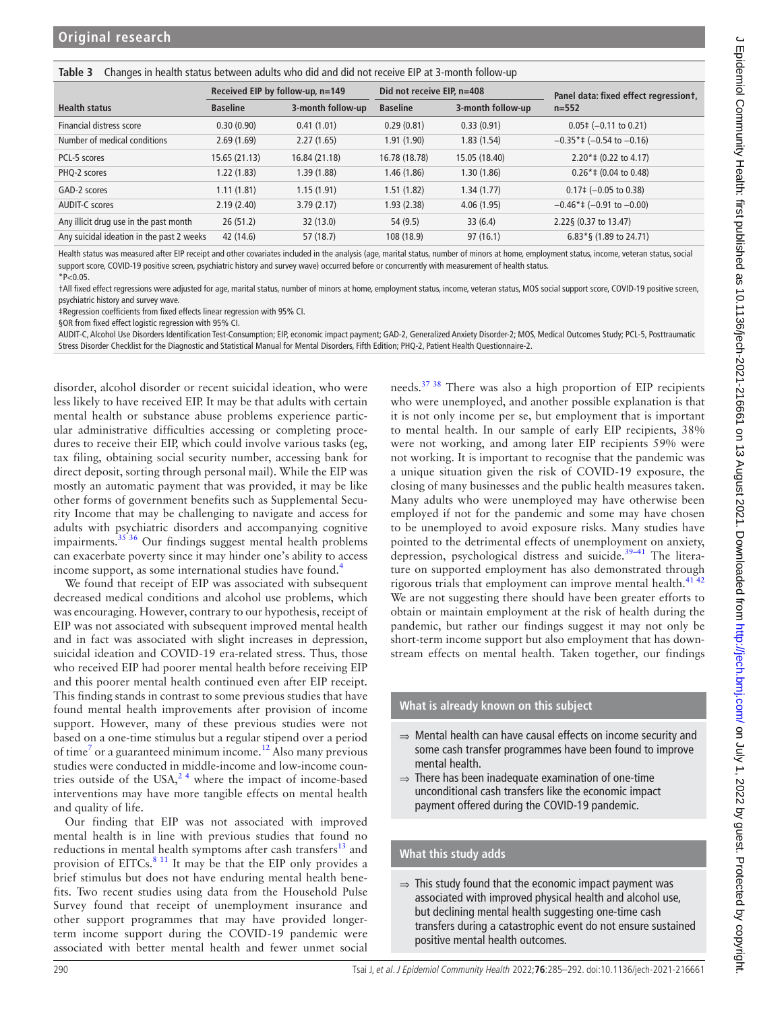#### <span id="page-5-0"></span>**Table 3** Changes in health status between adults who did and did not receive EIP at 3-month follow-up

|                                           | Received EIP by follow-up, n=149 |                   | Did not receive EIP, n=408 |                   | Panel data: fixed effect regressiont,         |  |
|-------------------------------------------|----------------------------------|-------------------|----------------------------|-------------------|-----------------------------------------------|--|
| <b>Health status</b>                      | <b>Baseline</b>                  | 3-month follow-up | <b>Baseline</b>            | 3-month follow-up | $n = 552$                                     |  |
| Financial distress score                  | 0.30(0.90)                       | 0.41(1.01)        | 0.29(0.81)                 | 0.33(0.91)        | $0.05\pm(-0.11 \text{ to } 0.21)$             |  |
| Number of medical conditions              | 2.69(1.69)                       | 2.27(1.65)        | 1.91 (1.90)                | 1.83(1.54)        | $-0.35$ <sup>*</sup> ‡ (-0.54 to -0.16)       |  |
| PCL-5 scores                              | 15.65(21.13)                     | 16.84 (21.18)     | 16.78 (18.78)              | 15.05 (18.40)     | $2.20* \ddagger (0.22 \text{ to } 4.17)$      |  |
| PHQ-2 scores                              | 1.22(1.83)                       | 1.39 (1.88)       | 1.46 (1.86)                | 1.30 (1.86)       | $0.26$ <sup>*</sup> ‡ $(0.04$ to 0.48)        |  |
| GAD-2 scores                              | 1.11(1.81)                       | 1.15(1.91)        | 1.51 (1.82)                | 1.34(1.77)        | $0.17\neq (-0.05 \text{ to } 0.38)$           |  |
| <b>AUDIT-C scores</b>                     | 2.19(2.40)                       | 3.79(2.17)        | 1.93 (2.38)                | 4.06(1.95)        | $-0.46$ <sup>*</sup> ‡ ( $-0.91$ to $-0.00$ ) |  |
| Any illicit drug use in the past month    | 26(51.2)                         | 32 (13.0)         | 54 (9.5)                   | 33(6.4)           | 2.22§ (0.37 to 13.47)                         |  |
| Any suicidal ideation in the past 2 weeks | 42 (14.6)                        | 57 (18.7)         | 108 (18.9)                 | 97(16.1)          | $6.83*$ § (1.89 to 24.71)                     |  |

Health status was measured after EIP receipt and other covariates included in the analysis (age, marital status, number of minors at home, employment status, income, veteran status, social support score, COVID-19 positive screen, psychiatric history and survey wave) occurred before or concurrently with measurement of health status.  $*P<0.05$ 

†All fixed effect regressions were adjusted for age, marital status, number of minors at home, employment status, income, veteran status, MOS social support score, COVID-19 positive screen, psychiatric history and survey wave.

‡Regression coefficients from fixed effects linear regression with 95% CI.

§OR from fixed effect logistic regression with 95% CI.

AUDIT-C, Alcohol Use Disorders Identification Test-Consumption; EIP, economic impact payment; GAD-2, Generalized Anxiety Disorder-2; MOS, Medical Outcomes Study; PCL-5, Posttraumatic Stress Disorder Checklist for the Diagnostic and Statistical Manual for Mental Disorders, Fifth Edition; PHQ-2, Patient Health Questionnaire-2.

disorder, alcohol disorder or recent suicidal ideation, who were less likely to have received EIP. It may be that adults with certain mental health or substance abuse problems experience particular administrative difficulties accessing or completing procedures to receive their EIP, which could involve various tasks (eg, tax filing, obtaining social security number, accessing bank for direct deposit, sorting through personal mail). While the EIP was mostly an automatic payment that was provided, it may be like other forms of government benefits such as Supplemental Security Income that may be challenging to navigate and access for adults with psychiatric disorders and accompanying cognitive impairments. $35 \frac{36}{10}$  Our findings suggest mental health problems can exacerbate poverty since it may hinder one's ability to access income support, as some international studies have found.<sup>[4](#page-6-1)</sup>

We found that receipt of EIP was associated with subsequent decreased medical conditions and alcohol use problems, which was encouraging. However, contrary to our hypothesis, receipt of EIP was not associated with subsequent improved mental health and in fact was associated with slight increases in depression, suicidal ideation and COVID-19 era-related stress. Thus, those who received EIP had poorer mental health before receiving EIP and this poorer mental health continued even after EIP receipt. This finding stands in contrast to some previous studies that have found mental health improvements after provision of income support. However, many of these previous studies were not based on a one-time stimulus but a regular stipend over a period of time<sup>7</sup> or a guaranteed minimum income.<sup>12</sup> Also many previous studies were conducted in middle-income and low-income countries outside of the USA, $^{24}$  where the impact of income-based interventions may have more tangible effects on mental health and quality of life.

Our finding that EIP was not associated with improved mental health is in line with previous studies that found no reductions in mental health symptoms after cash transfers $^{13}$  and provision of EITCs.<sup>[8 11](#page-6-3)</sup> It may be that the EIP only provides a brief stimulus but does not have enduring mental health benefits. Two recent studies using data from the Household Pulse Survey found that receipt of unemployment insurance and other support programmes that may have provided longerterm income support during the COVID-19 pandemic were associated with better mental health and fewer unmet social

needs.[37 38](#page-7-7) There was also a high proportion of EIP recipients who were unemployed, and another possible explanation is that it is not only income per se, but employment that is important to mental health. In our sample of early EIP recipients, 38% were not working, and among later EIP recipients 59% were not working. It is important to recognise that the pandemic was a unique situation given the risk of COVID-19 exposure, the closing of many businesses and the public health measures taken. Many adults who were unemployed may have otherwise been employed if not for the pandemic and some may have chosen to be unemployed to avoid exposure risks. Many studies have pointed to the detrimental effects of unemployment on anxiety, depression, psychological distress and suicide.<sup>39-41</sup> The literature on supported employment has also demonstrated through rigorous trials that employment can improve mental health. $4142$ We are not suggesting there should have been greater efforts to obtain or maintain employment at the risk of health during the pandemic, but rather our findings suggest it may not only be short-term income support but also employment that has downstream effects on mental health. Taken together, our findings

### **What is already known on this subject**

- ⇒ Mental health can have causal effects on income security and some cash transfer programmes have been found to improve mental health.
- $\Rightarrow$  There has been inadequate examination of one-time unconditional cash transfers like the economic impact payment offered during the COVID-19 pandemic.

### **What this study adds**

 $\Rightarrow$  This study found that the economic impact payment was associated with improved physical health and alcohol use, but declining mental health suggesting one-time cash transfers during a catastrophic event do not ensure sustained positive mental health outcomes.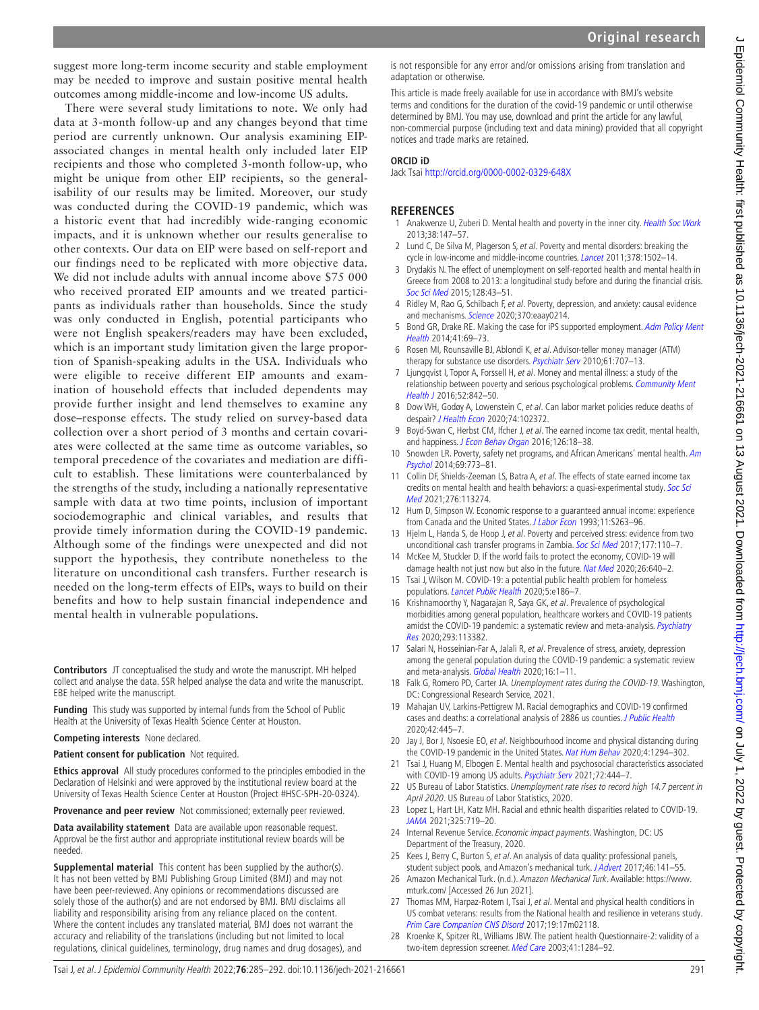amidst the COVID-19 pandemic: a systematic review and meta-analysis. Psychiatry [Res](http://dx.doi.org/10.1016/j.psychres.2020.113382) 2020;293:113382. 17 Salari N, Hosseinian-Far A, Jalali R, et al. Prevalence of stress, anxiety, depression among the general population during the COVID-19 pandemic: a systematic review and meta-analysis. [Global Health](http://dx.doi.org/10.1186/s12992-020-00589-w) 2020;16:1-11.

adaptation or otherwise.

**ORCID iD**

**REFERENCES**

2013;38:147–57.

notices and trade marks are retained.

[Soc Sci Med](http://dx.doi.org/10.1016/j.socscimed.2014.12.025) 2015;128:43–51.

[Health](http://dx.doi.org/10.1007/s10488-012-0444-6) 2014;41:69–73.

[Health J](http://dx.doi.org/10.1007/s10597-015-9950-9) 2016;52:842–50.

[Psychol](http://dx.doi.org/10.1037/a0037422) 2014;69:773–81.

[Med](http://dx.doi.org/10.1016/j.socscimed.2020.113274) 2021;276:113274.

despair? [J Health Econ](http://dx.doi.org/10.1016/j.jhealeco.2020.102372) 2020;74:102372.

and happiness. [J Econ Behav Organ](http://dx.doi.org/10.1016/j.jebo.2015.11.004) 2016;126:18-38.

populations. [Lancet Public Health](http://dx.doi.org/10.1016/S2468-2667(20)30053-0) 2020;5:e186–7.

and mechanisms. [Science](http://dx.doi.org/10.1126/science.aay0214) 2020;370:eaay0214.

Jack Tsai <http://orcid.org/0000-0002-0329-648X>

- <span id="page-6-16"></span><span id="page-6-15"></span><span id="page-6-14"></span><span id="page-6-13"></span><span id="page-6-12"></span><span id="page-6-11"></span><span id="page-6-10"></span><span id="page-6-8"></span>18 Falk G, Romero PD, Carter JA. Unemployment rates during the COVID-19. Washington, DC: Congressional Research Service, 2021.
	- 19 Mahajan UV, Larkins-Pettigrew M. Racial demographics and COVID-19 confirmed cases and deaths: a correlational analysis of 2886 us counties. [J Public Health](http://dx.doi.org/10.1093/pubmed/fdaa070) 2020;42:445–7.
	- 20 Jay J, Bor J, Nsoesie EO, et al. Neighbourhood income and physical distancing during the COVID-19 pandemic in the United States. [Nat Hum Behav](http://dx.doi.org/10.1038/s41562-020-00998-2) 2020;4:1294-302.
	- 21 Tsai J, Huang M, Elbogen E. Mental health and psychosocial characteristics associated with COVID-19 among US adults. [Psychiatr Serv](http://dx.doi.org/10.1176/appi.ps.202000540) 2021;72:444-7.
	- 22 US Bureau of Labor Statistics. Unemployment rate rises to record high 14.7 percent in April 2020. US Bureau of Labor Statistics, 2020.
	- 23 Lopez L, Hart LH, Katz MH. Racial and ethnic health disparities related to COVID-19. [JAMA](http://dx.doi.org/10.1001/jama.2020.26443) 2021;325:719–20.
	- 24 Internal Revenue Service. Economic impact payments. Washington, DC: US Department of the Treasury, 2020.
	- 25 Kees J, Berry C, Burton S, et al. An analysis of data quality: professional panels, student subject pools, and Amazon's mechanical turk. [J Advert](http://dx.doi.org/10.1080/00913367.2016.1269304) 2017;46:141-55.
	- 26 Amazon Mechanical Turk. (n.d.). Amazon Mechanical Turk. Available: [https://www.](https://www.mturk.com/) [mturk.com/](https://www.mturk.com/) [Accessed 26 Jun 2021].
	- 27 Thomas MM, Harpaz-Rotem I, Tsai J, et al. Mental and physical health conditions in US combat veterans: results from the National health and resilience in veterans study. [Prim Care Companion CNS Disord](http://dx.doi.org/10.4088/PCC.17m02118) 2017;19:17m02118.
	- 28 Kroenke K, Spitzer RL, Williams JBW. The patient health Questionnaire-2: validity of a two-item depression screener. [Med Care](http://dx.doi.org/10.1097/01.MLR.0000093487.78664.3C) 2003;41:1284–92.

suggest more long-term income security and stable employment may be needed to improve and sustain positive mental health outcomes among middle-income and low-income US adults.

There were several study limitations to note. We only had data at 3-month follow-up and any changes beyond that time period are currently unknown. Our analysis examining EIPassociated changes in mental health only included later EIP recipients and those who completed 3-month follow-up, who might be unique from other EIP recipients, so the generalisability of our results may be limited. Moreover, our study was conducted during the COVID-19 pandemic, which was a historic event that had incredibly wide-ranging economic impacts, and it is unknown whether our results generalise to other contexts. Our data on EIP were based on self-report and our findings need to be replicated with more objective data. We did not include adults with annual income above \$75 000 who received prorated EIP amounts and we treated participants as individuals rather than households. Since the study was only conducted in English, potential participants who were not English speakers/readers may have been excluded, which is an important study limitation given the large proportion of Spanish-speaking adults in the USA. Individuals who were eligible to receive different EIP amounts and examination of household effects that included dependents may provide further insight and lend themselves to examine any dose–response effects. The study relied on survey-based data collection over a short period of 3 months and certain covariates were collected at the same time as outcome variables, so temporal precedence of the covariates and mediation are difficult to establish. These limitations were counterbalanced by the strengths of the study, including a nationally representative sample with data at two time points, inclusion of important sociodemographic and clinical variables, and results that provide timely information during the COVID-19 pandemic. Although some of the findings were unexpected and did not support the hypothesis, they contribute nonetheless to the literature on unconditional cash transfers. Further research is needed on the long-term effects of EIPs, ways to build on their benefits and how to help sustain financial independence and mental health in vulnerable populations.

**Contributors** JT conceptualised the study and wrote the manuscript. MH helped collect and analyse the data. SSR helped analyse the data and write the manuscript. EBE helped write the manuscript.

**Funding** This study was supported by internal funds from the School of Public Health at the University of Texas Health Science Center at Houston.

**Competing interests** None declared.

**Patient consent for publication** Not required.

**Ethics approval** All study procedures conformed to the principles embodied in the Declaration of Helsinki and were approved by the institutional review board at the University of Texas Health Science Center at Houston (Project #HSC-SPH-20-0324).

**Provenance and peer review** Not commissioned; externally peer reviewed.

**Data availability statement** Data are available upon reasonable request. Approval be the first author and appropriate institutional review boards will be needed.

**Supplemental material** This content has been supplied by the author(s). It has not been vetted by BMJ Publishing Group Limited (BMJ) and may not have been peer-reviewed. Any opinions or recommendations discussed are solely those of the author(s) and are not endorsed by BMJ. BMJ disclaims all liability and responsibility arising from any reliance placed on the content. Where the content includes any translated material, BMJ does not warrant the accuracy and reliability of the translations (including but not limited to local regulations, clinical guidelines, terminology, drug names and drug dosages), and

This article is made freely available for use in accordance with BMJ's website terms and conditions for the duration of the covid-19 pandemic or until otherwise determined by BMJ. You may use, download and print the article for any lawful, non-commercial purpose (including text and data mining) provided that all copyright

<span id="page-6-0"></span>1 Anakwenze U, Zuberi D. Mental health and poverty in the inner city. [Health Soc Work](http://dx.doi.org/10.1093/hsw/hlt013)

<span id="page-6-5"></span>2 Lund C, De Silva M, Plagerson S, et al. Poverty and mental disorders: breaking the cycle in low-income and middle-income countries. [Lancet](http://dx.doi.org/10.1016/S0140-6736(11)60754-X) 2011;378:1502-14. 3 Drydakis N. The effect of unemployment on self-reported health and mental health in Greece from 2008 to 2013: a longitudinal study before and during the financial crisis.

<span id="page-6-1"></span>4 Ridley M, Rao G, Schilbach F, et al. Poverty, depression, and anxiety: causal evidence

5 Bond GR, Drake RE. Making the case for iPS supported employment. Adm Policy Ment

<span id="page-6-2"></span>6 Rosen MI, Rounsaville BJ, Ablondi K, et al. Advisor-teller money manager (ATM) therapy for substance use disorders. [Psychiatr Serv](http://dx.doi.org/10.1176/ps.2010.61.7.707) 2010;61:707-13. 7 Ljungqvist I, Topor A, Forssell H, et al. Money and mental illness: a study of the relationship between poverty and serious psychological problems. Community Ment

<span id="page-6-3"></span>8 Dow WH, Godøy A, Lowenstein C, et al. Can labor market policies reduce deaths of

9 Boyd-Swan C, Herbst CM, Ifcher J, et al. The earned income tax credit, mental health,

10 Snowden LR. Poverty, safety net programs, and African Americans' mental health. Am

11 Collin DF, Shields-Zeeman LS, Batra A, et al. The effects of state earned income tax credits on mental health and health behaviors: a quasi-experimental study. [Soc Sci](http://dx.doi.org/10.1016/j.socscimed.2020.113274) 

<span id="page-6-6"></span><span id="page-6-4"></span>12 Hum D, Simpson W. Economic response to a guaranteed annual income: experience from Canada and the United States. [J Labor Econ](http://dx.doi.org/10.1086/298335) 1993;11:S263-96. 13 Hjelm L, Handa S, de Hoop J, et al. Poverty and perceived stress: evidence from two

<span id="page-6-9"></span><span id="page-6-7"></span>damage health not just now but also in the future. [Nat Med](http://dx.doi.org/10.1038/s41591-020-0863-y) 2020;26:640-2. 15 Tsai J, Wilson M. COVID-19: a potential public health problem for homeless

16 Krishnamoorthy Y, Nagarajan R, Saya GK, et al. Prevalence of psychological morbidities among general population, healthcare workers and COVID-19 patients